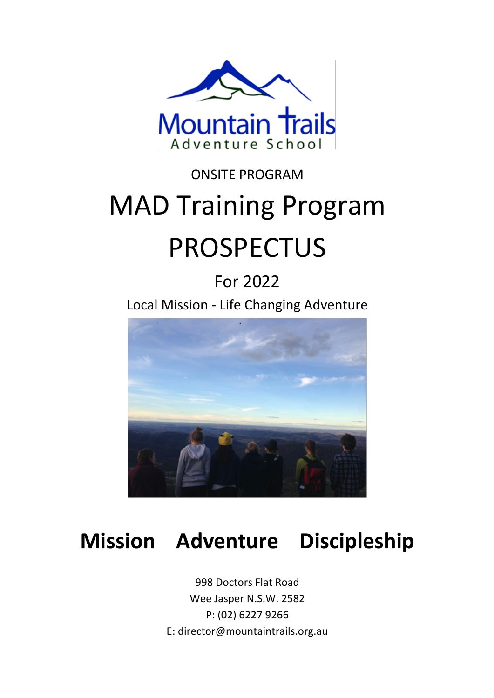

# ONSITE PROGRAM MAD Training Program PROSPECTUS

# For 2022

Local Mission - Life Changing Adventure



# **Mission Adventure Discipleship**

998 Doctors Flat Road Wee Jasper N.S.W. 2582 P: (02) 6227 9266 E: director@mountaintrails.org.au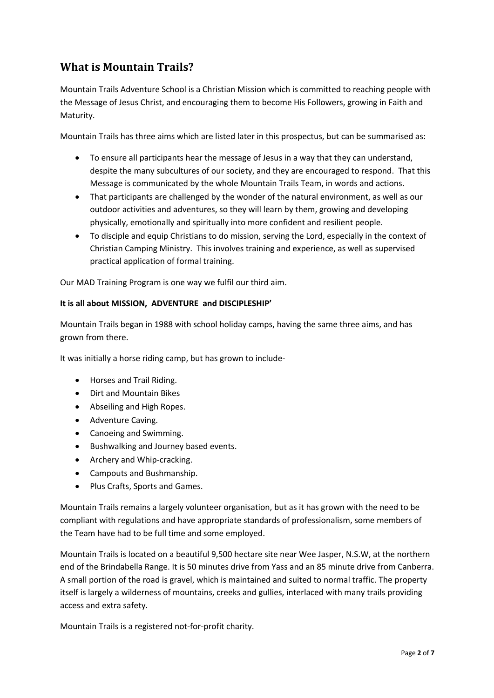## **What is Mountain Trails?**

Mountain Trails Adventure School is a Christian Mission which is committed to reaching people with the Message of Jesus Christ, and encouraging them to become His Followers, growing in Faith and Maturity.

Mountain Trails has three aims which are listed later in this prospectus, but can be summarised as:

- To ensure all participants hear the message of Jesus in a way that they can understand, despite the many subcultures of our society, and they are encouraged to respond. That this Message is communicated by the whole Mountain Trails Team, in words and actions.
- That participants are challenged by the wonder of the natural environment, as well as our outdoor activities and adventures, so they will learn by them, growing and developing physically, emotionally and spiritually into more confident and resilient people.
- To disciple and equip Christians to do mission, serving the Lord, especially in the context of Christian Camping Ministry. This involves training and experience, as well as supervised practical application of formal training.

Our MAD Training Program is one way we fulfil our third aim.

#### **It is all about MISSION, ADVENTURE and DISCIPLESHIP'**

Mountain Trails began in 1988 with school holiday camps, having the same three aims, and has grown from there.

It was initially a horse riding camp, but has grown to include-

- Horses and Trail Riding.
- Dirt and Mountain Bikes
- Abseiling and High Ropes.
- Adventure Caving.
- Canoeing and Swimming.
- Bushwalking and Journey based events.
- Archery and Whip-cracking.
- Campouts and Bushmanship.
- Plus Crafts, Sports and Games.

Mountain Trails remains a largely volunteer organisation, but as it has grown with the need to be compliant with regulations and have appropriate standards of professionalism, some members of the Team have had to be full time and some employed.

Mountain Trails is located on a beautiful 9,500 hectare site near Wee Jasper, N.S.W, at the northern end of the Brindabella Range. It is 50 minutes drive from Yass and an 85 minute drive from Canberra. A small portion of the road is gravel, which is maintained and suited to normal traffic. The property itself is largely a wilderness of mountains, creeks and gullies, interlaced with many trails providing access and extra safety.

Mountain Trails is a registered not-for-profit charity.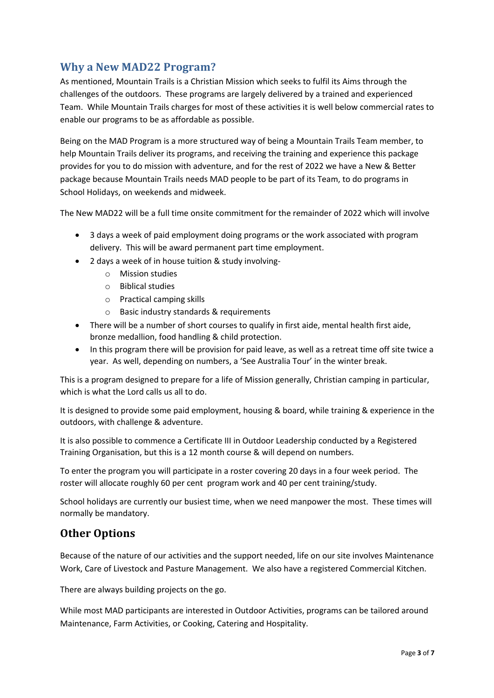### **Why a New MAD22 Program?**

As mentioned, Mountain Trails is a Christian Mission which seeks to fulfil its Aims through the challenges of the outdoors. These programs are largely delivered by a trained and experienced Team. While Mountain Trails charges for most of these activities it is well below commercial rates to enable our programs to be as affordable as possible.

Being on the MAD Program is a more structured way of being a Mountain Trails Team member, to help Mountain Trails deliver its programs, and receiving the training and experience this package provides for you to do mission with adventure, and for the rest of 2022 we have a New & Better package because Mountain Trails needs MAD people to be part of its Team, to do programs in School Holidays, on weekends and midweek.

The New MAD22 will be a full time onsite commitment for the remainder of 2022 which will involve

- 3 days a week of paid employment doing programs or the work associated with program delivery. This will be award permanent part time employment.
- 2 days a week of in house tuition & study involving
	- o Mission studies
	- o Biblical studies
	- o Practical camping skills
	- o Basic industry standards & requirements
- There will be a number of short courses to qualify in first aide, mental health first aide, bronze medallion, food handling & child protection.
- In this program there will be provision for paid leave, as well as a retreat time off site twice a year. As well, depending on numbers, a 'See Australia Tour' in the winter break.

This is a program designed to prepare for a life of Mission generally, Christian camping in particular, which is what the Lord calls us all to do.

It is designed to provide some paid employment, housing & board, while training & experience in the outdoors, with challenge & adventure.

It is also possible to commence a Certificate III in Outdoor Leadership conducted by a Registered Training Organisation, but this is a 12 month course & will depend on numbers.

To enter the program you will participate in a roster covering 20 days in a four week period. The roster will allocate roughly 60 per cent program work and 40 per cent training/study.

School holidays are currently our busiest time, when we need manpower the most. These times will normally be mandatory.

#### **Other Options**

Because of the nature of our activities and the support needed, life on our site involves Maintenance Work, Care of Livestock and Pasture Management. We also have a registered Commercial Kitchen.

There are always building projects on the go.

While most MAD participants are interested in Outdoor Activities, programs can be tailored around Maintenance, Farm Activities, or Cooking, Catering and Hospitality.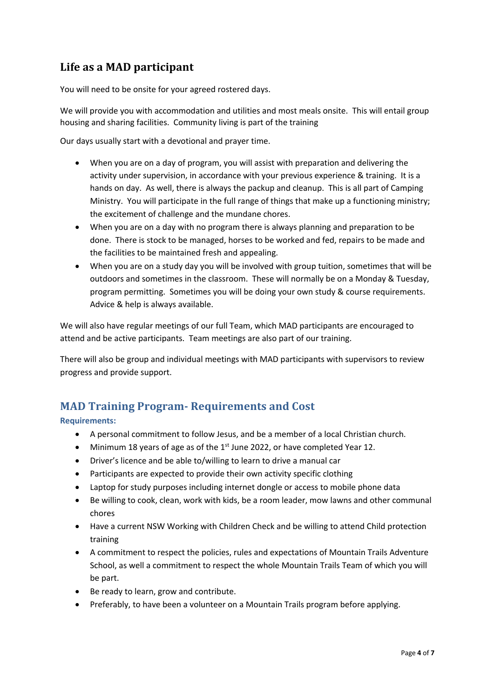### Life as a MAD participant

You will need to be onsite for your agreed rostered days.

We will provide you with accommodation and utilities and most meals onsite. This will entail group housing and sharing facilities. Community living is part of the training

Our days usually start with a devotional and prayer time.

- When you are on a day of program, you will assist with preparation and delivering the activity under supervision, in accordance with your previous experience & training. It is a hands on day. As well, there is always the packup and cleanup. This is all part of Camping Ministry. You will participate in the full range of things that make up a functioning ministry; the excitement of challenge and the mundane chores.
- When you are on a day with no program there is always planning and preparation to be done. There is stock to be managed, horses to be worked and fed, repairs to be made and the facilities to be maintained fresh and appealing.
- When you are on a study day you will be involved with group tuition, sometimes that will be outdoors and sometimes in the classroom. These will normally be on a Monday & Tuesday, program permitting. Sometimes you will be doing your own study & course requirements. Advice & help is always available.

We will also have regular meetings of our full Team, which MAD participants are encouraged to attend and be active participants. Team meetings are also part of our training.

There will also be group and individual meetings with MAD participants with supervisors to review progress and provide support.

#### **MAD Training Program- Requirements and Cost**

**Requirements:**

- A personal commitment to follow Jesus, and be a member of a local Christian church.
- Minimum 18 years of age as of the 1<sup>st</sup> June 2022, or have completed Year 12.
- Driver's licence and be able to/willing to learn to drive a manual car
- Participants are expected to provide their own activity specific clothing
- Laptop for study purposes including internet dongle or access to mobile phone data
- Be willing to cook, clean, work with kids, be a room leader, mow lawns and other communal chores
- Have a current NSW Working with Children Check and be willing to attend Child protection training
- A commitment to respect the policies, rules and expectations of Mountain Trails Adventure School, as well a commitment to respect the whole Mountain Trails Team of which you will be part.
- Be ready to learn, grow and contribute.
- Preferably, to have been a volunteer on a Mountain Trails program before applying.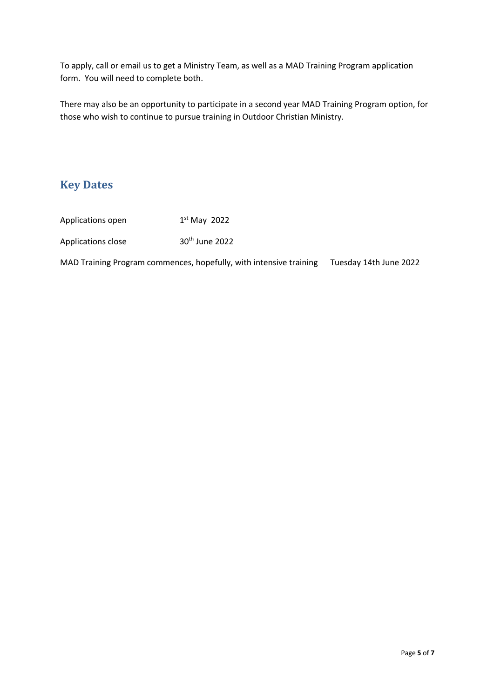To apply, call or email us to get a Ministry Team, as well as a MAD Training Program application form. You will need to complete both.

There may also be an opportunity to participate in a second year MAD Training Program option, for those who wish to continue to pursue training in Outdoor Christian Ministry.

### **Key Dates**

| Applications open  | $1st$ May 2022             |
|--------------------|----------------------------|
| Applications close | 30 <sup>th</sup> June 2022 |

MAD Training Program commences, hopefully, with intensive training Tuesday 14th June 2022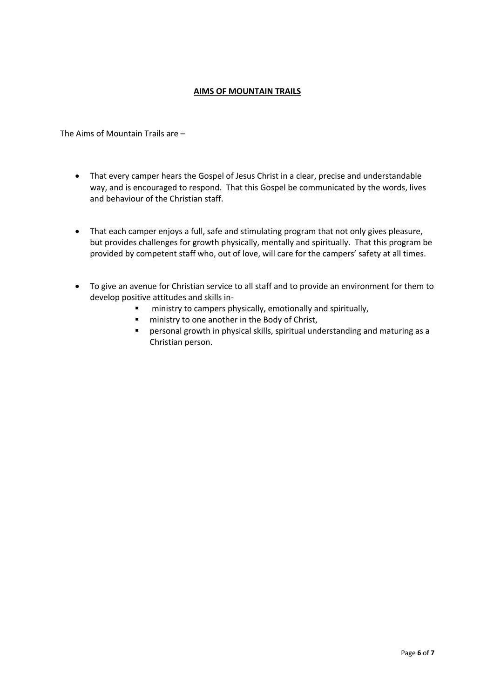#### **AIMS OF MOUNTAIN TRAILS**

The Aims of Mountain Trails are –

- That every camper hears the Gospel of Jesus Christ in a clear, precise and understandable way, and is encouraged to respond. That this Gospel be communicated by the words, lives and behaviour of the Christian staff.
- That each camper enjoys a full, safe and stimulating program that not only gives pleasure, but provides challenges for growth physically, mentally and spiritually. That this program be provided by competent staff who, out of love, will care for the campers' safety at all times.
- To give an avenue for Christian service to all staff and to provide an environment for them to develop positive attitudes and skills in-
	- ! ministry to campers physically, emotionally and spiritually,
	- **"** ministry to one another in the Body of Christ,
	- ! personal growth in physical skills, spiritual understanding and maturing as a Christian person.